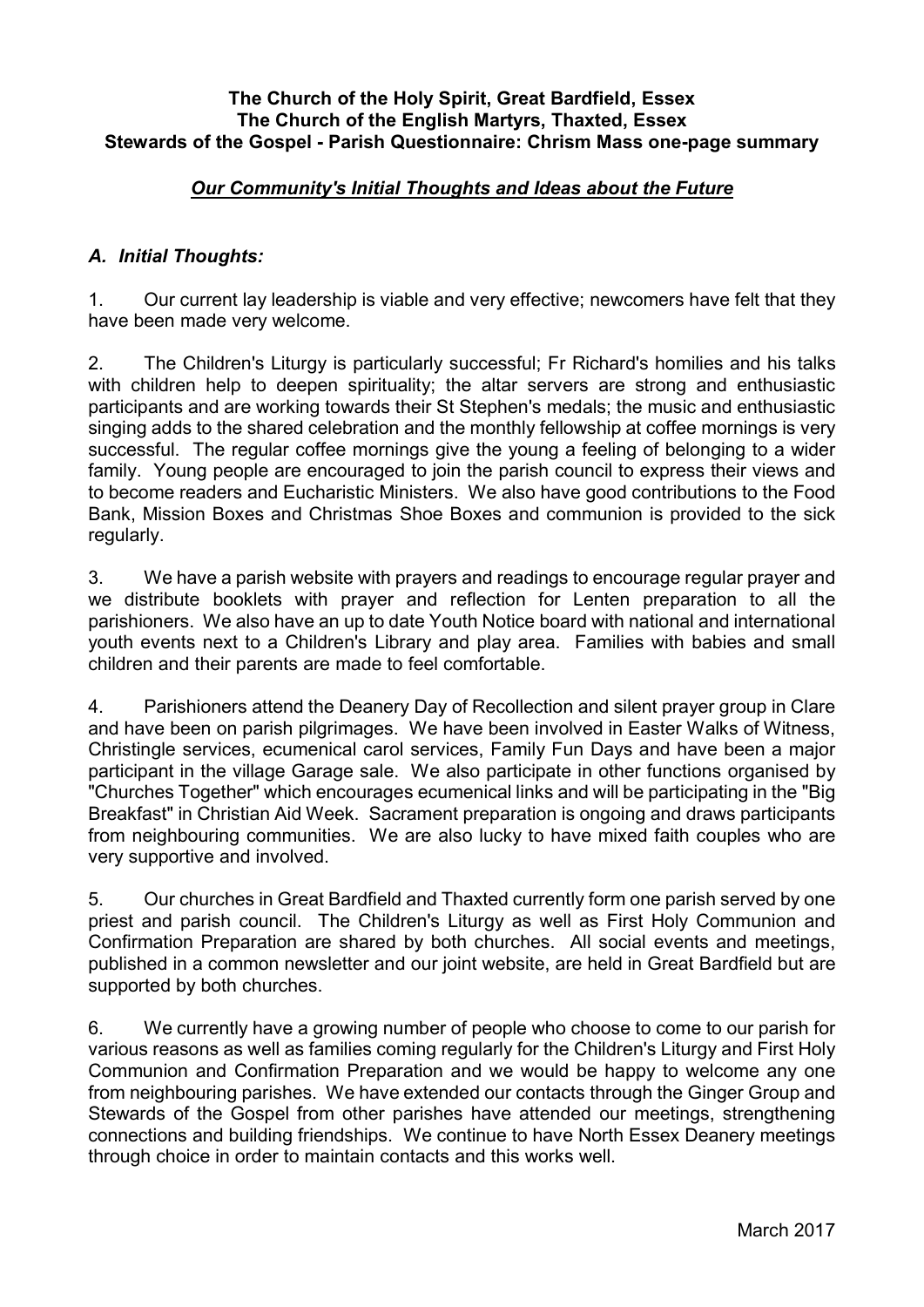## **The Church of the Holy Spirit, Great Bardfield, Essex The Church of the English Martyrs, Thaxted, Essex Stewards of the Gospel - Parish Questionnaire: Chrism Mass one-page summary**

## *Our Community's Initial Thoughts and Ideas about the Future*

## *A. Initial Thoughts:*

1. Our current lay leadership is viable and very effective; newcomers have felt that they have been made very welcome.

2. The Children's Liturgy is particularly successful; Fr Richard's homilies and his talks with children help to deepen spirituality; the altar servers are strong and enthusiastic participants and are working towards their St Stephen's medals; the music and enthusiastic singing adds to the shared celebration and the monthly fellowship at coffee mornings is very successful. The regular coffee mornings give the young a feeling of belonging to a wider family. Young people are encouraged to join the parish council to express their views and to become readers and Eucharistic Ministers. We also have good contributions to the Food Bank, Mission Boxes and Christmas Shoe Boxes and communion is provided to the sick regularly.

3. We have a parish website with prayers and readings to encourage regular prayer and we distribute booklets with prayer and reflection for Lenten preparation to all the parishioners. We also have an up to date Youth Notice board with national and international youth events next to a Children's Library and play area. Families with babies and small children and their parents are made to feel comfortable.

4. Parishioners attend the Deanery Day of Recollection and silent prayer group in Clare and have been on parish pilgrimages. We have been involved in Easter Walks of Witness, Christingle services, ecumenical carol services, Family Fun Days and have been a major participant in the village Garage sale. We also participate in other functions organised by "Churches Together" which encourages ecumenical links and will be participating in the "Big Breakfast" in Christian Aid Week. Sacrament preparation is ongoing and draws participants from neighbouring communities. We are also lucky to have mixed faith couples who are very supportive and involved.

5. Our churches in Great Bardfield and Thaxted currently form one parish served by one priest and parish council. The Children's Liturgy as well as First Holy Communion and Confirmation Preparation are shared by both churches. All social events and meetings, published in a common newsletter and our joint website, are held in Great Bardfield but are supported by both churches.

6. We currently have a growing number of people who choose to come to our parish for various reasons as well as families coming regularly for the Children's Liturgy and First Holy Communion and Confirmation Preparation and we would be happy to welcome any one from neighbouring parishes. We have extended our contacts through the Ginger Group and Stewards of the Gospel from other parishes have attended our meetings, strengthening connections and building friendships. We continue to have North Essex Deanery meetings through choice in order to maintain contacts and this works well.